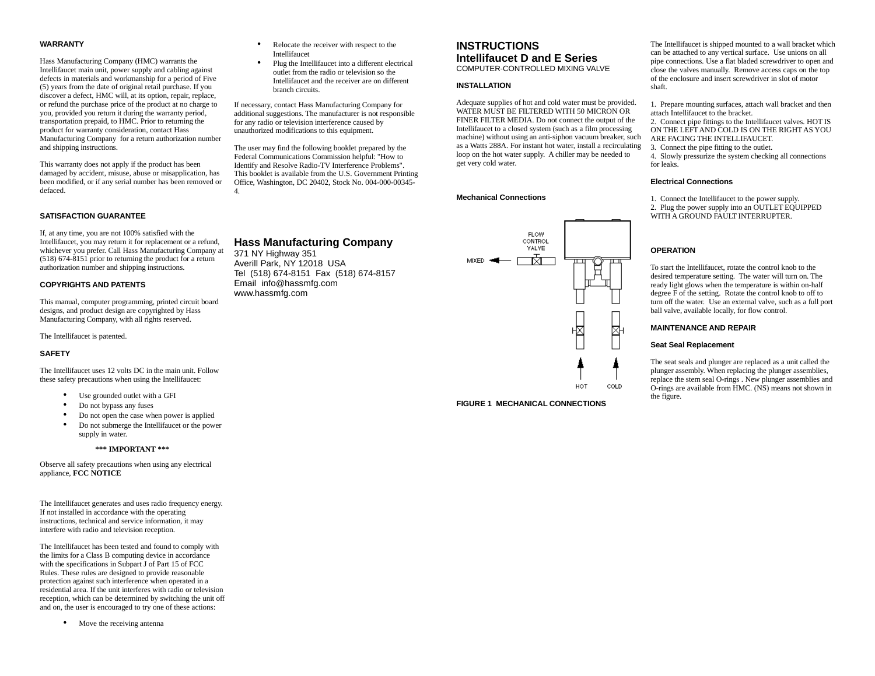### **WARRANTY**

Hass Manufacturing Company (HMC) warrants the Intellifaucet main unit, power supply and cabling against defects in materials and workmanship for a period of Five (5) years from the date of original retail purchase. If you discover a defect, HMC will, at its option, repair, replace, or refund the purchase price of the product at no charge to you, provided you return it during the warranty period, transportation prepaid, to HMC. Prior to returning the product for warranty consideration, contact Hass Manufacturing Company for a return authorization number and shipping instructions.

This warranty does not apply if the product has been damaged by accident, misuse, abuse or misapplication, has been modified, or if any serial number has been removed or defaced.

# **SATISFACTION GUARANTEE**

If, at any time, you are not 100% satisfied with the Intellifaucet, you may return it for replacement or a refund, whichever you prefer. Call Hass Manufacturing Company at (518) 674-8151 prior to returning the product for a return authorization number and shipping instructions.

### **COPYRIGHTS AND PATENTS**

This manual, computer programming, printed circuit board designs, and product design are copyrighted by Hass Manufacturing Company, with all rights reserved.

The Intellifaucet is patented.

### **SAFETY**

The Intellifaucet uses 12 volts DC in the main unit. Follow these safety precautions when using the Intellifaucet:

- Use grounded outlet with a GFI
- Do not bypass any fuses
- Do not open the case when power is applied
- Do not submerge the Intellifaucet or the power supply in water.

### **\*\*\* IMPORTANT \*\*\***

Observe all safety precautions when using any electrical appliance, **FCC NOTICE**

The Intellifaucet generates and uses radio frequency energy. If not installed in accordance with the operating instructions, technical and service information, it may interfere with radio and television reception.

The Intellifaucet has been tested and found to comply with the limits for a Class B computing device in accordance with the specifications in Subpart J of Part 15 of FCC Rules. These rules are designed to provide reasonable protection against such interference when operated in a residential area. If the unit interferes with radio or television reception, which can be determined by switching the unit off and on, the user is encouraged to try one of these actions:

• Move the receiving antenna

- Relocate the receiver with respect to the Intellifaucet
- Plug the Intellifaucet into a different electrical outlet from the radio or television so the Intellifaucet and the receiver are on different branch circuits.

If necessary, contact Hass Manufacturing Company for additional suggestions. The manufacturer is not responsible for any radio or television interference caused by unauthorized modifications to this equipment.

The user may find the following booklet prepared by the Federal Communications Commission helpful: "How to Identify and Resolve Radio-TV Interference Problems". This booklet is available from the U.S. Government Printing Office, Washington, DC 20402, Stock No. 004-000-00345- 4.

Email info@hassmfg.com www.hassmfg.com

# **INSTRUCTIONS Intellifaucet D and E Series**  COMPUTER-CONTROLLED MIXING VALVE

### **INSTALLATION**

Adequate supplies of hot and cold water must be provided. WATER MUST BE FILTERED WITH 50 MICRON OR FINER FILTER MEDIA. Do not connect the output of the Intellifaucet to a closed system (such as a film processing machine) without using an anti-siphon vacuum breaker, such as a Watts 288A. For instant hot water, install a recirculating loop on the hot water supply. A chiller may be needed to get very cold water.

### **Mechanical Connections**



**FIGURE 1 MECHANICAL CONNECTIONS**

The Intellifaucet is shipped mounted to a wall bracket which can be attached to any vertical surface. Use unions on all pipe connections. Use a flat bladed screwdriver to open and close the valves manually. Remove access caps on the top of the enclosure and insert screwdriver in slot of motor shaft.

1. Prepare mounting surfaces, attach wall bracket and then attach Intellifaucet to the bracket.

2. Connect pipe fittings to the Intellifaucet valves. HOT IS ON THE LEFT AND COLD IS ON THE RIGHT AS YOU ARE FACING THE INTELLIFAUCET.

3. Connect the pipe fitting to the outlet.

4. Slowly pressurize the system checking all connections for leaks.

### **Electrical Connections**

1. Connect the Intellifaucet to the power supply.

2. Plug the power supply into an OUTLET EQUIPPED WITH A GROUND FAULT INTERRUPTER.

### **OPERATION**

To start the Intellifaucet, rotate the control knob to the desired temperature setting. The water will turn on. The ready light glows when the temperature is within on-half degree F of the setting. Rotate the control knob to off to turn off the water. Use an external valve, such as a full port ball valve, available locally, for flow control.

### **MAINTENANCE AND REPAIR**

### **Seat Seal Replacement**

The seat seals and plunger are replaced as a unit called the plunger assembly. When replacing the plunger assemblies, replace the stem seal O-rings . New plunger assemblies and O-rings are available from HMC. (NS) means not shown in the figure.

# **Hass Manufacturing Company** 371 NY Highway 351 Averill Park, NY 12018 USA Tel (518) 674-8151 Fax (518) 674-8157